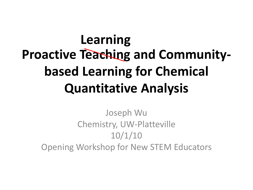## **Proactive Teaching and Communitybased Learning for Chemical Quantitative Analysis Learning**

Joseph Wu Chemistry, UW-Platteville 10/1/10 Opening Workshop for New STEM Educators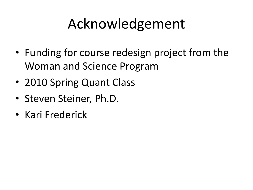# Acknowledgement

- Funding for course redesign project from the Woman and Science Program
- 2010 Spring Quant Class
- Steven Steiner, Ph.D.
- Kari Frederick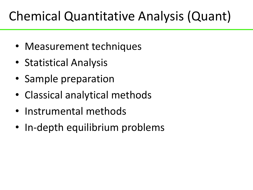#### Chemical Quantitative Analysis (Quant)

- Measurement techniques
- Statistical Analysis
- Sample preparation
- Classical analytical methods
- Instrumental methods
- In-depth equilibrium problems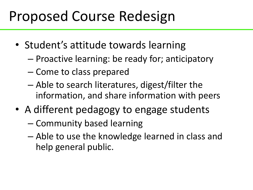### Proposed Course Redesign

- Student's attitude towards learning
	- Proactive learning: be ready for; anticipatory
	- Come to class prepared
	- Able to search literatures, digest/filter the information, and share information with peers
- A different pedagogy to engage students
	- Community based learning
	- Able to use the knowledge learned in class and help general public.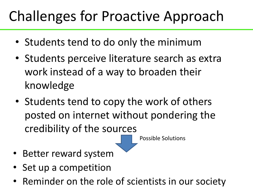# Challenges for Proactive Approach

- Students tend to do only the minimum
- Students perceive literature search as extra work instead of a way to broaden their knowledge
- Students tend to copy the work of others posted on internet without pondering the credibility of the sources

Possible Solutions

- Better reward system
- Set up a competition
- Reminder on the role of scientists in our society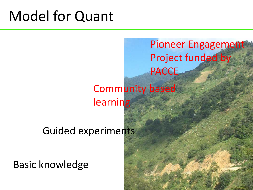#### Model for Quant

#### Pioneer Engagement Project funded by PACCE

Community based learning

#### Guided experiments

Basic knowledge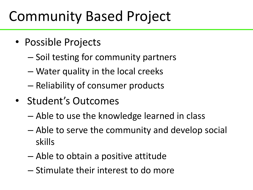## Community Based Project

- Possible Projects
	- Soil testing for community partners
	- Water quality in the local creeks
	- Reliability of consumer products
- Student's Outcomes
	- Able to use the knowledge learned in class
	- Able to serve the community and develop social skills
	- Able to obtain a positive attitude
	- Stimulate their interest to do more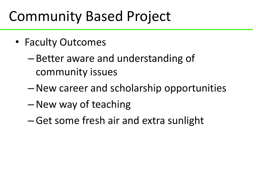## Community Based Project

- Faculty Outcomes
	- Better aware and understanding of community issues
	- –New career and scholarship opportunities
	- –New way of teaching
	- –Get some fresh air and extra sunlight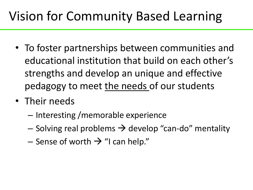#### Vision for Community Based Learning

- To foster partnerships between communities and educational institution that build on each other's strengths and develop an unique and effective pedagogy to meet the needs of our students
- Their needs
	- Interesting /memorable experience
	- $-$  Solving real problems  $\rightarrow$  develop "can-do" mentality
	- Sense of worth  $\rightarrow$  "I can help."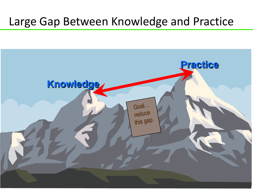#### Large Gap Between Knowledge and Practice

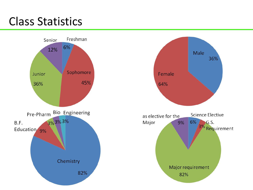#### Class Statistics

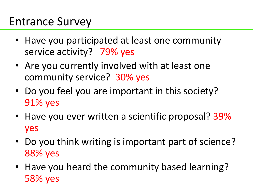#### Entrance Survey

- Have you participated at least one community service activity? 79% yes
- Are you currently involved with at least one community service? 30% yes
- Do you feel you are important in this society? 91% yes
- Have you ever written a scientific proposal? 39% yes
- Do you think writing is important part of science? 88% yes
- Have you heard the community based learning? 58% yes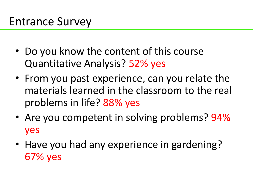#### Entrance Survey

- Do you know the content of this course Quantitative Analysis? 52% yes
- From you past experience, can you relate the materials learned in the classroom to the real problems in life? 88% yes
- Are you competent in solving problems? 94% yes
- Have you had any experience in gardening? 67% yes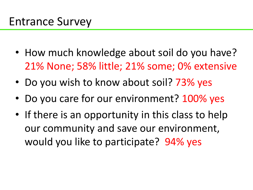- How much knowledge about soil do you have? 21% None; 58% little; 21% some; 0% extensive
- Do you wish to know about soil? 73% yes
- Do you care for our environment? 100% yes
- If there is an opportunity in this class to help our community and save our environment, would you like to participate? 94% yes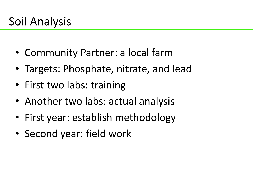- Community Partner: a local farm
- Targets: Phosphate, nitrate, and lead
- First two labs: training
- Another two labs: actual analysis
- First year: establish methodology
- Second year: field work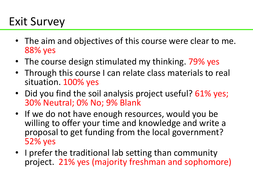#### Exit Survey

- The aim and objectives of this course were clear to me. 88% yes
- The course design stimulated my thinking. 79% yes
- Through this course I can relate class materials to real situation. 100% yes
- Did you find the soil analysis project useful? 61% yes; 30% Neutral; 0% No; 9% Blank
- If we do not have enough resources, would you be willing to offer your time and knowledge and write a proposal to get funding from the local government? 52% yes
- I prefer the traditional lab setting than community project. 21% yes (majority freshman and sophomore)